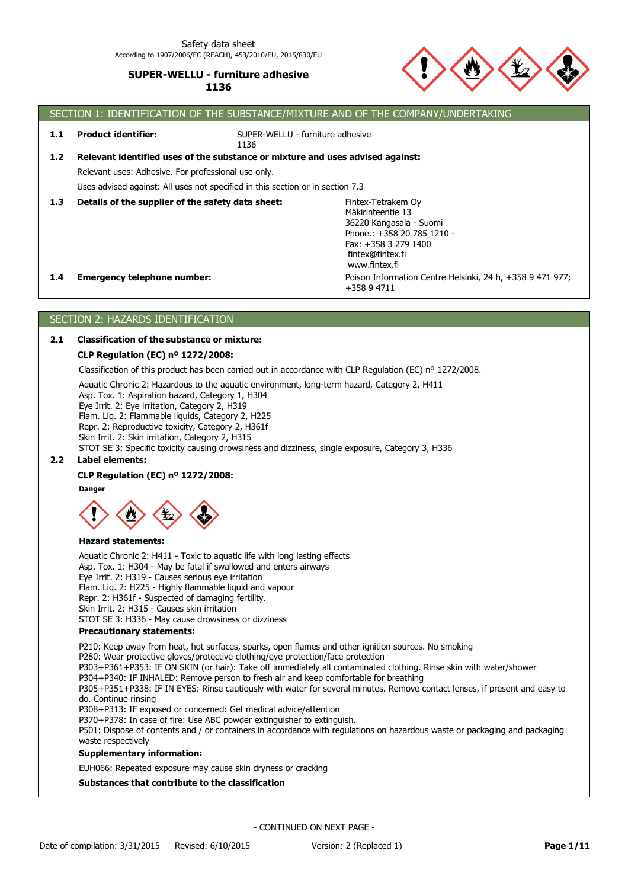

# SECTION 1: IDENTIFICATION OF THE SUBSTANCE/MIXTURE AND OF THE COMPANY/UNDERTAKING

**1.1 Product identifier:**

SUPER-WELLU - furniture adhesive

Uses advised against: All uses not specified in this section or in section 7.3 Relevant uses: Adhesive. For professional use only. **1.2 Relevant identified uses of the substance or mixture and uses advised against:**

1136

**1.3 Details of the supplier of the safety data sheet:**

Poison Information Centre Helsinki, 24 h, +358 9 471 977; +358 9 4711 Fintex-Tetrakem Oy Mäkirinteentie 13 36220 Kangasala - Suomi Phone.: +358 20 785 1210 - Fax: +358 3 279 1400 fintex@fintex.fi www.fintex.fi

## **1.4 Emergency telephone number:**

# SECTION 2: HAZARDS IDENTIFICATION

## **2.1 Classification of the substance or mixture:**

## **CLP Regulation (EC) nº 1272/2008:**

Classification of this product has been carried out in accordance with CLP Regulation (EC) nº 1272/2008.

Aquatic Chronic 2: Hazardous to the aquatic environment, long-term hazard, Category 2, H411

Asp. Tox. 1: Aspiration hazard, Category 1, H304

Eye Irrit. 2: Eye irritation, Category 2, H319

Flam. Liq. 2: Flammable liquids, Category 2, H225

Repr. 2: Reproductive toxicity, Category 2, H361f

Skin Irrit. 2: Skin irritation, Category 2, H315

STOT SE 3: Specific toxicity causing drowsiness and dizziness, single exposure, Category 3, H336

# **2.2 Label elements:**

## **CLP Regulation (EC) nº 1272/2008:**

**Danger**



#### **Hazard statements:**

**Precautionary statements:** Aquatic Chronic 2: H411 - Toxic to aquatic life with long lasting effects Asp. Tox. 1: H304 - May be fatal if swallowed and enters airways Eye Irrit. 2: H319 - Causes serious eye irritation Flam. Liq. 2: H225 - Highly flammable liquid and vapour Repr. 2: H361f - Suspected of damaging fertility. Skin Irrit. 2: H315 - Causes skin irritation STOT SE 3: H336 - May cause drowsiness or dizziness

P210: Keep away from heat, hot surfaces, sparks, open flames and other ignition sources. No smoking

P280: Wear protective gloves/protective clothing/eye protection/face protection

P303+P361+P353: IF ON SKIN (or hair): Take off immediately all contaminated clothing. Rinse skin with water/shower

P304+P340: IF INHALED: Remove person to fresh air and keep comfortable for breathing P305+P351+P338: IF IN EYES: Rinse cautiously with water for several minutes. Remove contact lenses, if present and easy to

do. Continue rinsing

P308+P313: IF exposed or concerned: Get medical advice/attention

P370+P378: In case of fire: Use ABC powder extinguisher to extinguish.

P501: Dispose of contents and / or containers in accordance with regulations on hazardous waste or packaging and packaging waste respectively

## **Supplementary information:**

EUH066: Repeated exposure may cause skin dryness or cracking

## **Substances that contribute to the classification**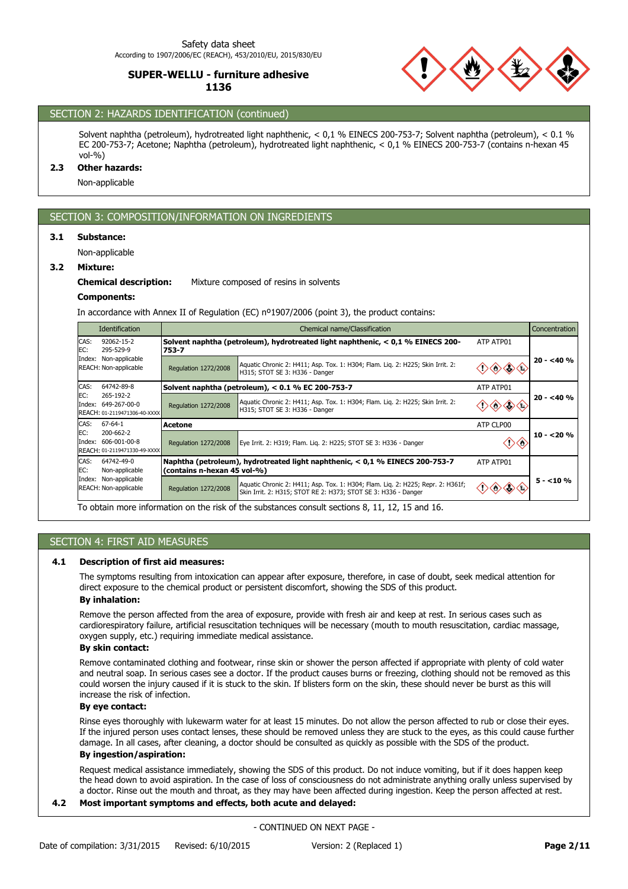

# SECTION 2: HAZARDS IDENTIFICATION (continued)

Solvent naphtha (petroleum), hydrotreated light naphthenic, < 0,1 % EINECS 200-753-7; Solvent naphtha (petroleum), < 0.1 % EC 200-753-7; Acetone; Naphtha (petroleum), hydrotreated light naphthenic, < 0,1 % EINECS 200-753-7 (contains n-hexan 45 vol-%)

#### **2.3 Other hazards:**

Non-applicable

# SECTION 3: COMPOSITION/INFORMATION ON INGREDIENTS

#### **3.1 Substance:**

Non-applicable

## **3.2 Mixture:**

#### **Chemical description:** Mixture composed of resins in solvents

#### **Components:**

In accordance with Annex II of Regulation (EC) nº1907/2006 (point 3), the product contains:

| <b>Identification</b>                                                                           |                                                                                          | Chemical name/Classification<br>Concentration                                                                                                     |           |            |  |
|-------------------------------------------------------------------------------------------------|------------------------------------------------------------------------------------------|---------------------------------------------------------------------------------------------------------------------------------------------------|-----------|------------|--|
| CAS:<br>92062-15-2<br>EC:<br>295-529-9                                                          | Solvent naphtha (petroleum), hydrotreated light naphthenic, < 0,1 % EINECS 200-<br>753-7 | ATP ATP01                                                                                                                                         |           |            |  |
| Index: Non-applicable<br>REACH: Non-applicable                                                  | Regulation 1272/2008                                                                     | Aquatic Chronic 2: H411; Asp. Tox. 1: H304; Flam. Lig. 2: H225; Skin Irrit. 2:<br>H315; STOT SE 3: H336 - Danger                                  |           | $20 - 40%$ |  |
| CAS:<br>64742-89-8                                                                              |                                                                                          | Solvent naphtha (petroleum), $< 0.1$ % EC 200-753-7                                                                                               | ATP ATP01 |            |  |
| EC:<br>265-192-2<br>Index: 649-267-00-0<br>REACH: 01-2119471306-40-XXXX                         | Regulation 1272/2008                                                                     | Aquatic Chronic 2: H411; Asp. Tox. 1: H304; Flam. Lig. 2: H225; Skin Irrit. 2:<br>H315; STOT SE 3: H336 - Danger                                  |           | $20 - 40%$ |  |
| CAS:<br>67-64-1                                                                                 | Acetone                                                                                  |                                                                                                                                                   | ATP CLP00 |            |  |
| EC:<br>200-662-2<br>Index: 606-001-00-8<br>REACH: 01-2119471330-49-XXXX                         | Regulation 1272/2008                                                                     | Eye Irrit. 2: H319; Flam. Lig. 2: H225; STOT SE 3: H336 - Danger                                                                                  |           | $10 - 20%$ |  |
| CAS:<br>64742-49-0<br>EC:<br>Non-applicable                                                     | (contains n-hexan 45 vol-%)                                                              | Naphtha (petroleum), hydrotreated light naphthenic, < 0,1 % EINECS 200-753-7                                                                      | ATP ATP01 |            |  |
| Index: Non-applicable<br>REACH: Non-applicable                                                  | Regulation 1272/2008                                                                     | Aquatic Chronic 2: H411; Asp. Tox. 1: H304; Flam. Lig. 2: H225; Repr. 2: H361f;<br>Skin Irrit. 2: H315; STOT RE 2: H373; STOT SE 3: H336 - Danger |           | $5 - 10%$  |  |
| To obtain more information on the risk of the substances consult sections 8, 11, 12, 15 and 16. |                                                                                          |                                                                                                                                                   |           |            |  |

## SECTION 4: FIRST AID MEASURES

#### **4.1 Description of first aid measures:**

The symptoms resulting from intoxication can appear after exposure, therefore, in case of doubt, seek medical attention for direct exposure to the chemical product or persistent discomfort, showing the SDS of this product.

## **By inhalation:**

Remove the person affected from the area of exposure, provide with fresh air and keep at rest. In serious cases such as cardiorespiratory failure, artificial resuscitation techniques will be necessary (mouth to mouth resuscitation, cardiac massage, oxygen supply, etc.) requiring immediate medical assistance.

## **By skin contact:**

Remove contaminated clothing and footwear, rinse skin or shower the person affected if appropriate with plenty of cold water and neutral soap. In serious cases see a doctor. If the product causes burns or freezing, clothing should not be removed as this could worsen the injury caused if it is stuck to the skin. If blisters form on the skin, these should never be burst as this will increase the risk of infection.

#### **By eye contact:**

Rinse eyes thoroughly with lukewarm water for at least 15 minutes. Do not allow the person affected to rub or close their eyes. If the injured person uses contact lenses, these should be removed unless they are stuck to the eyes, as this could cause further damage. In all cases, after cleaning, a doctor should be consulted as quickly as possible with the SDS of the product.

# **By ingestion/aspiration:**

Request medical assistance immediately, showing the SDS of this product. Do not induce vomiting, but if it does happen keep the head down to avoid aspiration. In the case of loss of consciousness do not administrate anything orally unless supervised by a doctor. Rinse out the mouth and throat, as they may have been affected during ingestion. Keep the person affected at rest.

# **4.2 Most important symptoms and effects, both acute and delayed:**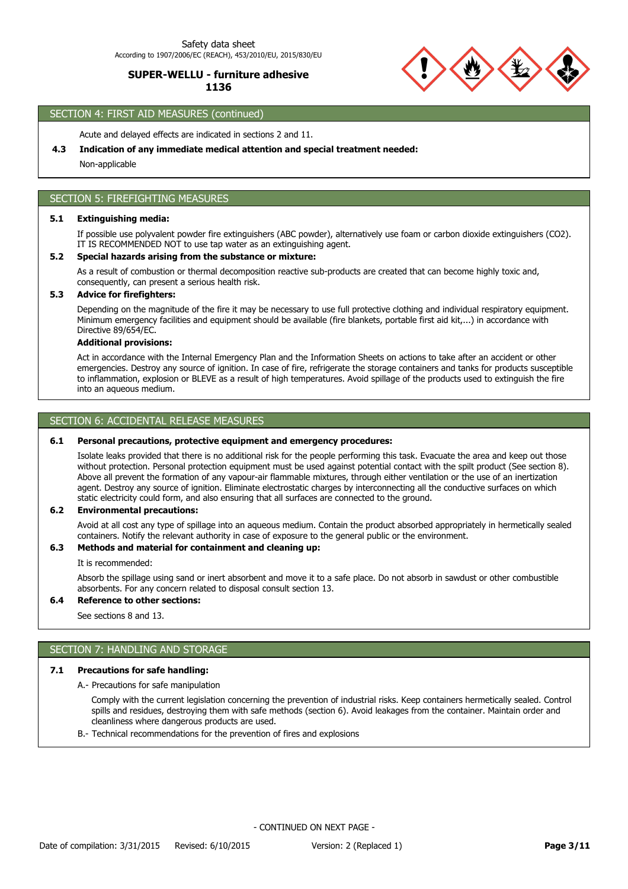#### Safety data sheet According to 1907/2006/EC (REACH), 453/2010/EU, 2015/830/EU

# **SUPER-WELLU - furniture adhesive 1136**



# SECTION 4: FIRST AID MEASURES (continued)

Acute and delayed effects are indicated in sections 2 and 11.

## **4.3 Indication of any immediate medical attention and special treatment needed:**

Non-applicable

## SECTION 5: FIREFIGHTING MEASURES

### **5.1 Extinguishing media:**

If possible use polyvalent powder fire extinguishers (ABC powder), alternatively use foam or carbon dioxide extinguishers (CO2). IT IS RECOMMENDED NOT to use tap water as an extinguishing agent.

## **5.2 Special hazards arising from the substance or mixture:**

As a result of combustion or thermal decomposition reactive sub-products are created that can become highly toxic and, consequently, can present a serious health risk.

## **5.3 Advice for firefighters:**

Depending on the magnitude of the fire it may be necessary to use full protective clothing and individual respiratory equipment. Minimum emergency facilities and equipment should be available (fire blankets, portable first aid kit,...) in accordance with Directive 89/654/EC.

#### **Additional provisions:**

Act in accordance with the Internal Emergency Plan and the Information Sheets on actions to take after an accident or other emergencies. Destroy any source of ignition. In case of fire, refrigerate the storage containers and tanks for products susceptible to inflammation, explosion or BLEVE as a result of high temperatures. Avoid spillage of the products used to extinguish the fire into an aqueous medium.

## SECTION 6: ACCIDENTAL RELEASE MEASURES

#### **6.1 Personal precautions, protective equipment and emergency procedures:**

Isolate leaks provided that there is no additional risk for the people performing this task. Evacuate the area and keep out those without protection. Personal protection equipment must be used against potential contact with the spilt product (See section 8). Above all prevent the formation of any vapour-air flammable mixtures, through either ventilation or the use of an inertization agent. Destroy any source of ignition. Eliminate electrostatic charges by interconnecting all the conductive surfaces on which static electricity could form, and also ensuring that all surfaces are connected to the ground.

#### **6.2 Environmental precautions:**

Avoid at all cost any type of spillage into an aqueous medium. Contain the product absorbed appropriately in hermetically sealed containers. Notify the relevant authority in case of exposure to the general public or the environment.

#### **6.3 Methods and material for containment and cleaning up:**

It is recommended:

Absorb the spillage using sand or inert absorbent and move it to a safe place. Do not absorb in sawdust or other combustible absorbents. For any concern related to disposal consult section 13.

#### **6.4 Reference to other sections:**

See sections 8 and 13.

## SECTION 7: HANDLING AND STORAGE

### **7.1 Precautions for safe handling:**

A.- Precautions for safe manipulation

Comply with the current legislation concerning the prevention of industrial risks. Keep containers hermetically sealed. Control spills and residues, destroying them with safe methods (section 6). Avoid leakages from the container. Maintain order and cleanliness where dangerous products are used.

B.- Technical recommendations for the prevention of fires and explosions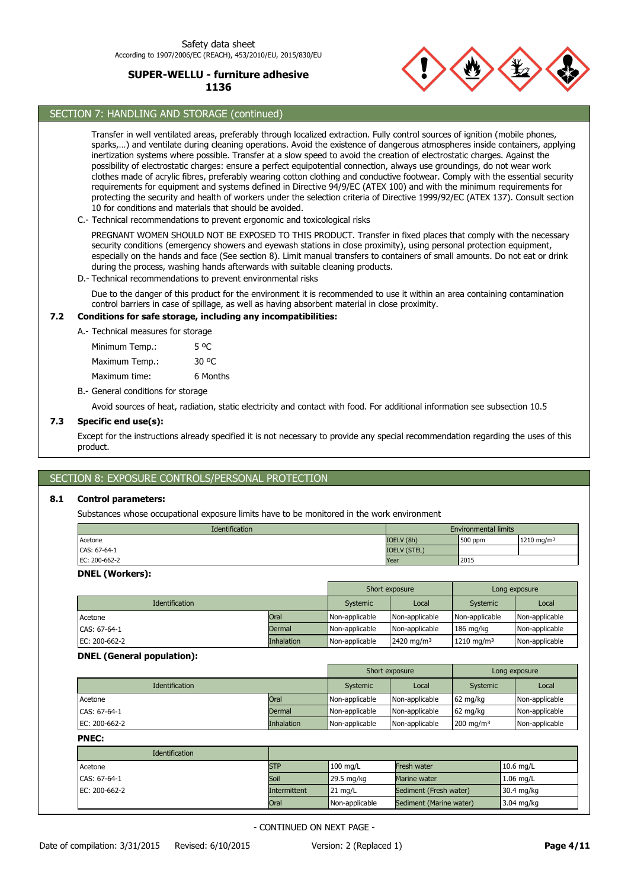

# SECTION 7: HANDLING AND STORAGE (continued)

Transfer in well ventilated areas, preferably through localized extraction. Fully control sources of ignition (mobile phones, sparks,…) and ventilate during cleaning operations. Avoid the existence of dangerous atmospheres inside containers, applying inertization systems where possible. Transfer at a slow speed to avoid the creation of electrostatic charges. Against the possibility of electrostatic charges: ensure a perfect equipotential connection, always use groundings, do not wear work clothes made of acrylic fibres, preferably wearing cotton clothing and conductive footwear. Comply with the essential security requirements for equipment and systems defined in Directive 94/9/EC (ATEX 100) and with the minimum requirements for protecting the security and health of workers under the selection criteria of Directive 1999/92/EC (ATEX 137). Consult section 10 for conditions and materials that should be avoided.

C.- Technical recommendations to prevent ergonomic and toxicological risks

PREGNANT WOMEN SHOULD NOT BE EXPOSED TO THIS PRODUCT. Transfer in fixed places that comply with the necessary security conditions (emergency showers and eyewash stations in close proximity), using personal protection equipment, especially on the hands and face (See section 8). Limit manual transfers to containers of small amounts. Do not eat or drink during the process, washing hands afterwards with suitable cleaning products.

D.- Technical recommendations to prevent environmental risks

Due to the danger of this product for the environment it is recommended to use it within an area containing contamination control barriers in case of spillage, as well as having absorbent material in close proximity.

## **7.2 Conditions for safe storage, including any incompatibilities:**

A.- Technical measures for storage

Maximum Temp.: 30 °C Minimum Temp.: 5 °C

Maximum time: 6 Months

B.- General conditions for storage

Avoid sources of heat, radiation, static electricity and contact with food. For additional information see subsection 10.5

#### **7.3 Specific end use(s):**

Except for the instructions already specified it is not necessary to provide any special recommendation regarding the uses of this product.

# SECTION 8: EXPOSURE CONTROLS/PERSONAL PROTECTION

## **8.1 Control parameters:**

Substances whose occupational exposure limits have to be monitored in the work environment

| Identification<br><b>Environmental limits</b> |                     |         |                        |
|-----------------------------------------------|---------------------|---------|------------------------|
| Acetone                                       | IOELV (8h)          | 500 ppm | 1210 mg/m <sup>3</sup> |
| CAS: 67-64-1                                  | <b>IOELV (STEL)</b> |         |                        |
| EC: 200-662-2                                 | Year                | 2015    |                        |

#### **DNEL (Workers):**

|                       |                   | Short exposure |                       | Long exposure          |                |
|-----------------------|-------------------|----------------|-----------------------|------------------------|----------------|
| <b>Identification</b> |                   | Systemic       | Local                 | Systemic               | Local          |
| Acetone               | Oral              | Non-applicable | Non-applicable        | Non-applicable         | Non-applicable |
| CAS: 67-64-1          | Dermal            | Non-applicable | Non-applicable        | $186 \text{ mg/kg}$    | Non-applicable |
| EC: 200-662-2         | <b>Inhalation</b> | Non-applicable | $2420 \text{ mg/m}^3$ | 1210 mg/m <sup>3</sup> | Non-applicable |

#### **DNEL (General population):**

|                       |            | Short exposure |                | Long exposure        |                |
|-----------------------|------------|----------------|----------------|----------------------|----------------|
| <b>Identification</b> |            | Systemic       | Local          | Systemic             | Local          |
| Acetone               | Oral       | Non-applicable | Non-applicable | 62 mg/kg             | Non-applicable |
| CAS: 67-64-1          | Dermal     | Non-applicable | Non-applicable | 62 mg/kg             | Non-applicable |
| EC: 200-662-2         | Inhalation | Non-applicable | Non-applicable | $200 \text{ mg/m}^3$ | Non-applicable |

**PNEC:**

| <b>Identification</b> |              |                    |                         |                      |
|-----------------------|--------------|--------------------|-------------------------|----------------------|
| Acetone               | <b>STP</b>   | $100 \text{ mg/L}$ | Fresh water             | $10.6$ mg/L          |
| CAS: 67-64-1          | Soil         | 29.5 mg/kg         | Marine water            | $1.06$ mg/L          |
| EC: 200-662-2         | Intermittent | $21 \text{ mg/L}$  | Sediment (Fresh water)  | 30.4 mg/kg           |
|                       | Oral         | Non-applicable     | Sediment (Marine water) | $3.04 \text{ mg/kg}$ |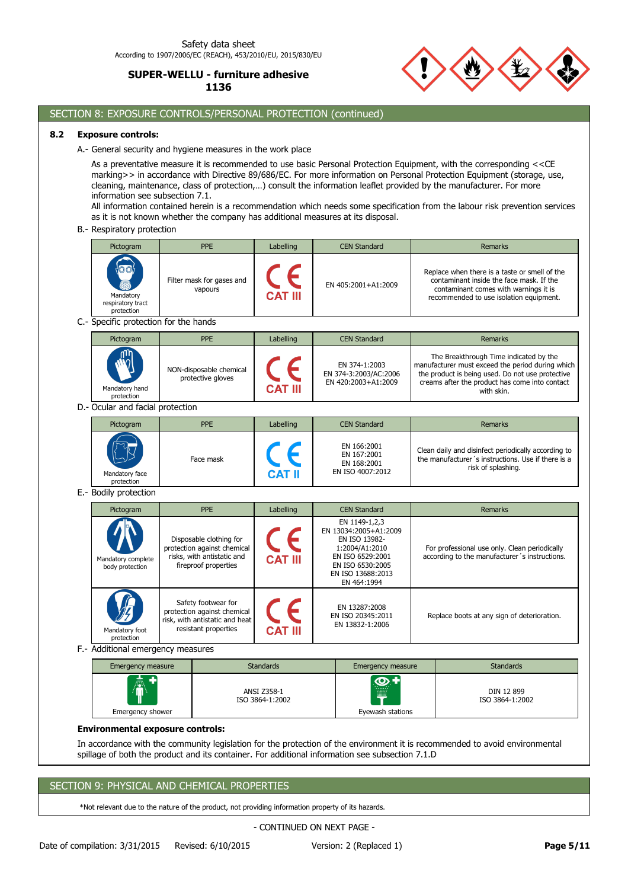

# SECTION 8: EXPOSURE CONTROLS/PERSONAL PROTECTION (continued)

## **8.2 Exposure controls:**

A.- General security and hygiene measures in the work place

As a preventative measure it is recommended to use basic Personal Protection Equipment, with the corresponding <<CE marking>> in accordance with Directive 89/686/EC. For more information on Personal Protection Equipment (storage, use, cleaning, maintenance, class of protection,…) consult the information leaflet provided by the manufacturer. For more information see subsection 7.1.

All information contained herein is a recommendation which needs some specification from the labour risk prevention services as it is not known whether the company has additional measures at its disposal.

B.- Respiratory protection

|                                       | Pictogram                                       |  | PPE                                                                                                          | Labelling                             |  | <b>CEN Standard</b>                                                                                                                                   |  | Remarks                                                                                                                                                                                                        |
|---------------------------------------|-------------------------------------------------|--|--------------------------------------------------------------------------------------------------------------|---------------------------------------|--|-------------------------------------------------------------------------------------------------------------------------------------------------------|--|----------------------------------------------------------------------------------------------------------------------------------------------------------------------------------------------------------------|
|                                       | Mandatory<br>respiratory tract<br>protection    |  | Filter mask for gases and<br>vapours                                                                         |                                       |  | EN 405:2001+A1:2009                                                                                                                                   |  | Replace when there is a taste or smell of the<br>contaminant inside the face mask. If the<br>contaminant comes with warnings it is<br>recommended to use isolation equipment.                                  |
| C.- Specific protection for the hands |                                                 |  |                                                                                                              |                                       |  |                                                                                                                                                       |  |                                                                                                                                                                                                                |
|                                       | Pictogram                                       |  | <b>PPE</b>                                                                                                   | Labelling                             |  | <b>CEN Standard</b>                                                                                                                                   |  | Remarks                                                                                                                                                                                                        |
|                                       | Mandatory hand<br>protection                    |  | NON-disposable chemical<br>protective gloves                                                                 |                                       |  | EN 374-1:2003<br>EN 374-3:2003/AC:2006<br>EN 420:2003+A1:2009                                                                                         |  | The Breakthrough Time indicated by the<br>manufacturer must exceed the period during which<br>the product is being used. Do not use protective<br>creams after the product has come into contact<br>with skin. |
|                                       | D.- Ocular and facial protection                |  |                                                                                                              |                                       |  |                                                                                                                                                       |  |                                                                                                                                                                                                                |
|                                       | Pictogram                                       |  | PPE                                                                                                          | Labelling                             |  | <b>CEN Standard</b>                                                                                                                                   |  | <b>Remarks</b>                                                                                                                                                                                                 |
|                                       | Mandatory face<br>protection                    |  | Face mask                                                                                                    |                                       |  | EN 166:2001<br>EN 167:2001<br>EN 168:2001<br>EN ISO 4007:2012                                                                                         |  | Clean daily and disinfect periodically according to<br>the manufacturer's instructions. Use if there is a<br>risk of splashing.                                                                                |
|                                       |                                                 |  |                                                                                                              |                                       |  |                                                                                                                                                       |  |                                                                                                                                                                                                                |
|                                       | E.- Bodily protection                           |  |                                                                                                              |                                       |  |                                                                                                                                                       |  |                                                                                                                                                                                                                |
|                                       | Pictogram                                       |  | PPE                                                                                                          | Labelling                             |  | <b>CEN Standard</b>                                                                                                                                   |  | <b>Remarks</b>                                                                                                                                                                                                 |
|                                       | Mandatory complete<br>body protection           |  | Disposable clothing for<br>protection against chemical<br>risks, with antistatic and<br>fireproof properties |                                       |  | EN 1149-1,2,3<br>EN 13034:2005+A1:2009<br>EN ISO 13982-<br>1:2004/A1:2010<br>EN ISO 6529:2001<br>EN ISO 6530:2005<br>EN ISO 13688:2013<br>EN 464:1994 |  | For professional use only. Clean periodically<br>according to the manufacturer's instructions.                                                                                                                 |
|                                       | Mandatory foot                                  |  | Safety footwear for<br>protection against chemical<br>risk, with antistatic and heat<br>resistant properties |                                       |  | EN 13287:2008<br>EN ISO 20345:2011<br>EN 13832-1:2006                                                                                                 |  | Replace boots at any sign of deterioration.                                                                                                                                                                    |
|                                       | protection<br>F.- Additional emergency measures |  |                                                                                                              |                                       |  |                                                                                                                                                       |  |                                                                                                                                                                                                                |
|                                       | <b>Emergency measure</b>                        |  |                                                                                                              | <b>Standards</b>                      |  | <b>Emergency measure</b>                                                                                                                              |  | <b>Standards</b>                                                                                                                                                                                               |
|                                       | Emergency shower                                |  |                                                                                                              | <b>ANSI Z358-1</b><br>ISO 3864-1:2002 |  | Eyewash stations                                                                                                                                      |  | DIN 12 899<br>ISO 3864-1:2002                                                                                                                                                                                  |

In accordance with the community legislation for the protection of the environment it is recommended to avoid environmental spillage of both the product and its container. For additional information see subsection 7.1.D

#### SECTION 9: PHYSICAL AND CHEMICAL PROPERTIES

\*Not relevant due to the nature of the product, not providing information property of its hazards.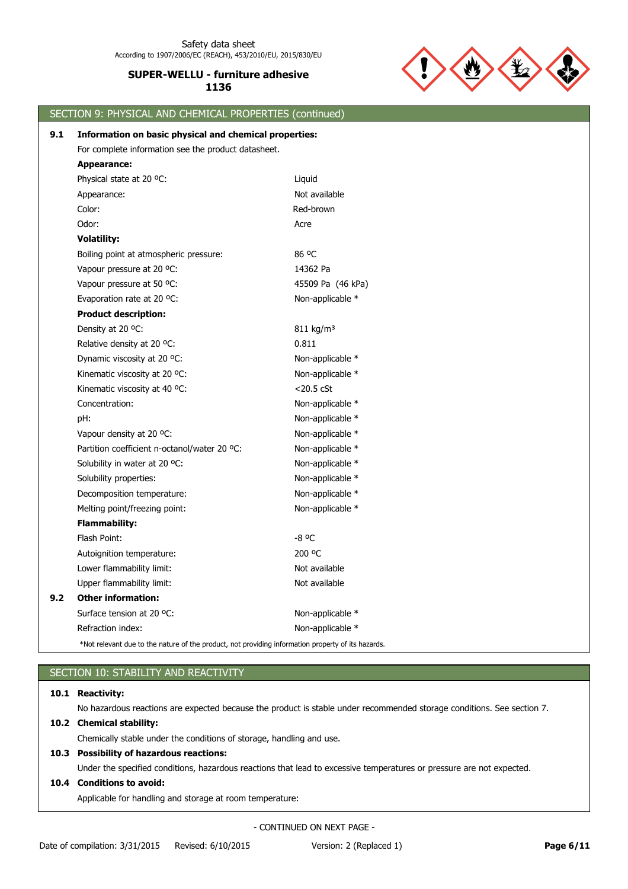

# SECTION 9: PHYSICAL AND CHEMICAL PROPERTIES (continued) Physical state at 20 °C: Liquid Energy and the United States at 20 °C: **Appearance:** For complete information see the product datasheet. **9.1 Information on basic physical and chemical properties:**

|     | Appearance:                                  | Not available         |
|-----|----------------------------------------------|-----------------------|
|     | Color:                                       | Red-brown             |
|     | Odor:                                        | Acre                  |
|     | <b>Volatility:</b>                           |                       |
|     | Boiling point at atmospheric pressure:       | 86 °C                 |
|     | Vapour pressure at 20 °C:                    | 14362 Pa              |
|     | Vapour pressure at 50 °C:                    | 45509 Pa (46 kPa)     |
|     | Evaporation rate at 20 °C:                   | Non-applicable *      |
|     | <b>Product description:</b>                  |                       |
|     | Density at 20 °C:                            | 811 kg/m <sup>3</sup> |
|     | Relative density at 20 °C:                   | 0.811                 |
|     | Dynamic viscosity at 20 °C:                  | Non-applicable *      |
|     | Kinematic viscosity at 20 °C:                | Non-applicable *      |
|     | Kinematic viscosity at 40 °C:                | $<$ 20.5 $<$ CSt      |
|     | Concentration:                               | Non-applicable *      |
|     | pH:                                          | Non-applicable *      |
|     | Vapour density at 20 °C:                     | Non-applicable *      |
|     | Partition coefficient n-octanol/water 20 °C: | Non-applicable *      |
|     | Solubility in water at 20 °C:                | Non-applicable *      |
|     | Solubility properties:                       | Non-applicable *      |
|     | Decomposition temperature:                   | Non-applicable *      |
|     | Melting point/freezing point:                | Non-applicable *      |
|     | <b>Flammability:</b>                         |                       |
|     | Flash Point:                                 | $-8$ °C               |
|     | Autoignition temperature:                    | 200 °C                |
|     | Lower flammability limit:                    | Not available         |
|     | Upper flammability limit:                    | Not available         |
| 9.2 | <b>Other information:</b>                    |                       |
|     | Surface tension at 20 °C:                    | Non-applicable *      |
|     | Refraction index:                            | Non-applicable *      |
|     |                                              |                       |

\*Not relevant due to the nature of the product, not providing information property of its hazards.

# SECTION 10: STABILITY AND REACTIVITY

## **10.1 Reactivity:**

No hazardous reactions are expected because the product is stable under recommended storage conditions. See section 7.

# **10.2 Chemical stability:**

Chemically stable under the conditions of storage, handling and use.

# **10.3 Possibility of hazardous reactions:**

Under the specified conditions, hazardous reactions that lead to excessive temperatures or pressure are not expected.

# **10.4 Conditions to avoid:**

Applicable for handling and storage at room temperature: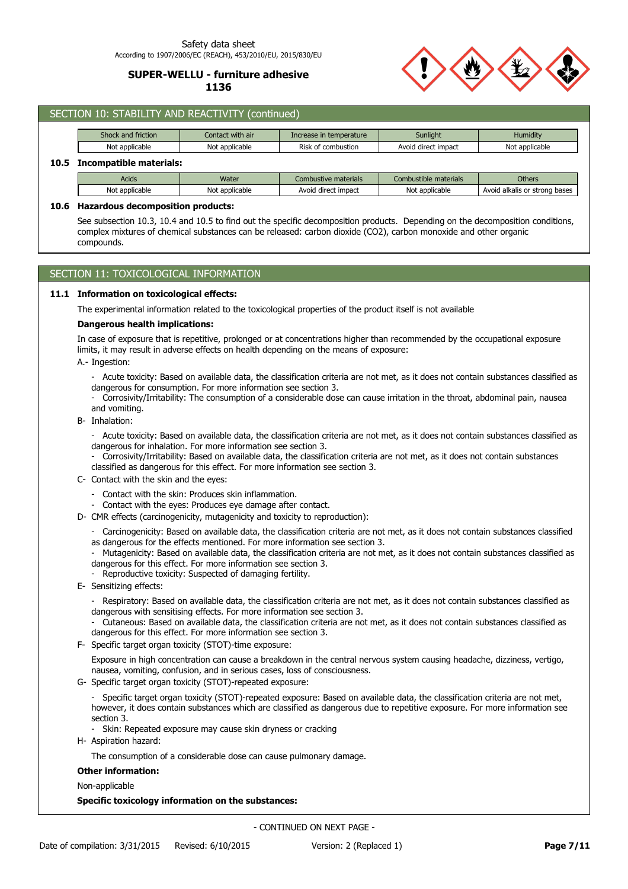#### Safety data sheet According to 1907/2006/EC (REACH), 453/2010/EU, 2015/830/EU

# **SUPER-WELLU - furniture adhesive 1136**



|                                 | SECTION 10: STABILITY AND REACTIVITY (continued) |                  |                         |                       |                               |  |  |  |  |
|---------------------------------|--------------------------------------------------|------------------|-------------------------|-----------------------|-------------------------------|--|--|--|--|
|                                 | Shock and friction                               | Contact with air | Increase in temperature | Sunlight              | Humidity                      |  |  |  |  |
|                                 | Not applicable                                   | Not applicable   | Risk of combustion      | Avoid direct impact   | Not applicable                |  |  |  |  |
| Incompatible materials:<br>10.5 |                                                  |                  |                         |                       |                               |  |  |  |  |
|                                 | <b>Acids</b>                                     | Water            | Combustive materials    | Combustible materials | <b>Others</b>                 |  |  |  |  |
|                                 | Not applicable                                   | Not applicable   | Avoid direct impact     | Not applicable        | Avoid alkalis or strong bases |  |  |  |  |

#### **10.6 Hazardous decomposition products:**

See subsection 10.3, 10.4 and 10.5 to find out the specific decomposition products. Depending on the decomposition conditions, complex mixtures of chemical substances can be released: carbon dioxide (CO2), carbon monoxide and other organic compounds.

# SECTION 11: TOXICOLOGICAL INFORMATION

#### **11.1 Information on toxicological effects:**

The experimental information related to the toxicological properties of the product itself is not available

#### **Dangerous health implications:**

In case of exposure that is repetitive, prolonged or at concentrations higher than recommended by the occupational exposure limits, it may result in adverse effects on health depending on the means of exposure:

A.- Ingestion:

- Acute toxicity: Based on available data, the classification criteria are not met, as it does not contain substances classified as dangerous for consumption. For more information see section 3.

- Corrosivity/Irritability: The consumption of a considerable dose can cause irritation in the throat, abdominal pain, nausea and vomiting.
- B- Inhalation:
	- Acute toxicity: Based on available data, the classification criteria are not met, as it does not contain substances classified as dangerous for inhalation. For more information see section 3.
	- Corrosivity/Irritability: Based on available data, the classification criteria are not met, as it does not contain substances classified as dangerous for this effect. For more information see section 3.
- C- Contact with the skin and the eyes:
	- Contact with the skin: Produces skin inflammation.
	- Contact with the eyes: Produces eye damage after contact.
- D- CMR effects (carcinogenicity, mutagenicity and toxicity to reproduction):
	- Carcinogenicity: Based on available data, the classification criteria are not met, as it does not contain substances classified as dangerous for the effects mentioned. For more information see section 3.
	- Mutagenicity: Based on available data, the classification criteria are not met, as it does not contain substances classified as
	- dangerous for this effect. For more information see section 3. Reproductive toxicity: Suspected of damaging fertility.
- E- Sensitizing effects:
	- Respiratory: Based on available data, the classification criteria are not met, as it does not contain substances classified as dangerous with sensitising effects. For more information see section 3.
	- Cutaneous: Based on available data, the classification criteria are not met, as it does not contain substances classified as dangerous for this effect. For more information see section 3.
- F- Specific target organ toxicity (STOT)-time exposure:
	- Exposure in high concentration can cause a breakdown in the central nervous system causing headache, dizziness, vertigo, nausea, vomiting, confusion, and in serious cases, loss of consciousness.
- G- Specific target organ toxicity (STOT)-repeated exposure:
	- Specific target organ toxicity (STOT)-repeated exposure: Based on available data, the classification criteria are not met, however, it does contain substances which are classified as dangerous due to repetitive exposure. For more information see section 3.
	- Skin: Repeated exposure may cause skin dryness or cracking
- H- Aspiration hazard:

The consumption of a considerable dose can cause pulmonary damage.

#### **Other information:**

Non-applicable

## **Specific toxicology information on the substances:**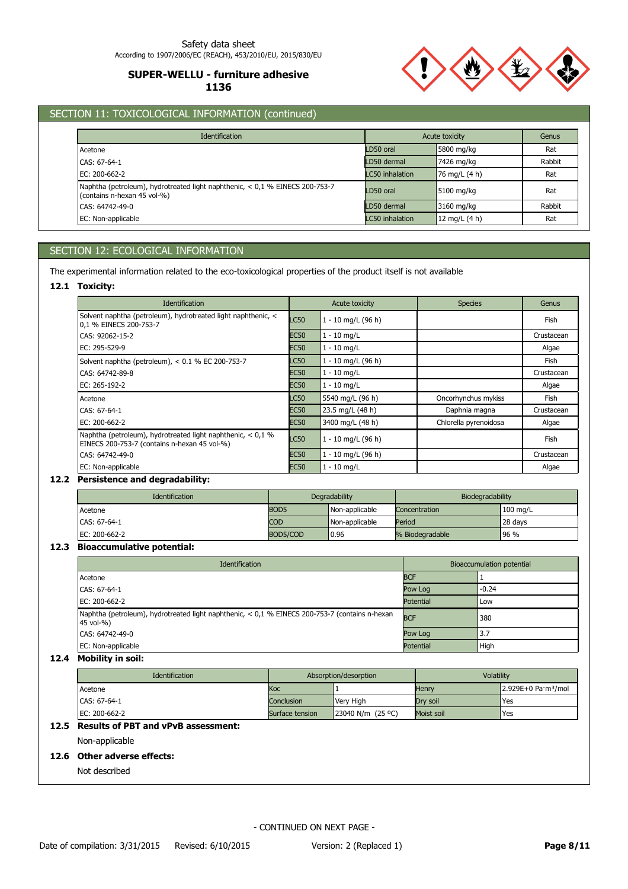

# SECTION 11: TOXICOLOGICAL INFORMATION (continued)

| <b>Identification</b>                                                                                       |                        | Acute toxicity | Genus  |
|-------------------------------------------------------------------------------------------------------------|------------------------|----------------|--------|
| Acetone                                                                                                     | LD50 oral              | 5800 mg/kg     | Rat    |
| CAS: 67-64-1                                                                                                | LD50 dermal            | 7426 mg/kg     | Rabbit |
| EC: $200 - 662 - 2$                                                                                         | LC50 inhalation        | 76 mg/L (4 h)  | Rat    |
| Naphtha (petroleum), hydrotreated light naphthenic, < 0,1 % EINECS 200-753-7<br>(contains n-hexan 45 vol-%) | LD50 oral              | 5100 mg/kg     | Rat    |
| CAS: 64742-49-0                                                                                             | LD50 dermal            | 3160 mg/kg     | Rabbit |
| EC: Non-applicable                                                                                          | <b>LC50</b> inhalation | 12 mg/L (4 h)  | Rat    |

# SECTION 12: ECOLOGICAL INFORMATION

The experimental information related to the eco-toxicological properties of the product itself is not available

## **12.1 Toxicity:**

| <b>Identification</b>                                                                                         |             | Acute toxicity       | <b>Species</b>        | Genus      |
|---------------------------------------------------------------------------------------------------------------|-------------|----------------------|-----------------------|------------|
| Solvent naphtha (petroleum), hydrotreated light naphthenic, <<br>0,1 % EINECS 200-753-7                       | <b>LC50</b> | $1 - 10$ mg/L (96 h) |                       | Fish       |
| CAS: 92062-15-2                                                                                               | <b>EC50</b> | 1 - 10 mg/L          |                       | Crustacean |
| EC: 295-529-9                                                                                                 | <b>EC50</b> | $1 - 10$ mg/L        |                       | Algae      |
| Solvent naphtha (petroleum), < 0.1 % EC 200-753-7                                                             | LC50        | 1 - 10 mg/L (96 h)   |                       | Fish       |
| CAS: 64742-89-8                                                                                               | <b>EC50</b> | 1 - 10 mg/L          |                       | Crustacean |
| EC: 265-192-2                                                                                                 | <b>EC50</b> | 1 - 10 ma/L          |                       | Algae      |
| Acetone                                                                                                       | <b>LC50</b> | 5540 mg/L (96 h)     | Oncorhynchus mykiss   | Fish       |
| CAS: 67-64-1                                                                                                  | <b>EC50</b> | 23.5 mg/L (48 h)     | Daphnia magna         | Crustacean |
| EC: $200 - 662 - 2$                                                                                           | <b>EC50</b> | 3400 mg/L (48 h)     | Chlorella pyrenoidosa | Algae      |
| Naphtha (petroleum), hydrotreated light naphthenic, $< 0.1$ %<br>EINECS 200-753-7 (contains n-hexan 45 vol-%) | <b>LC50</b> | $1 - 10$ mg/L (96 h) |                       | Fish       |
| CAS: 64742-49-0                                                                                               | <b>EC50</b> | 1 - 10 mg/L (96 h)   |                       | Crustacean |
| EC: Non-applicable                                                                                            | <b>EC50</b> | 1 - 10 mg/L          |                       | Algae      |

## **12.2 Persistence and degradability:**

| <b>Identification</b> | Degradability    |                | Biodegradability |            |
|-----------------------|------------------|----------------|------------------|------------|
| Acetone               | BOD <sub>5</sub> | Non-applicable | Concentration    | $100$ mg/L |
| CAS: 67-64-1          | <b>COD</b>       | Non-applicable | Period           | 28 days    |
| EC: 200-662-2         | BOD5/COD         | 0.96           | % Biodegradable  | $96\%$     |

## **12.3 Bioaccumulative potential:**

| <b>Identification</b>                                                                                       | Bioaccumulation potential |         |  |
|-------------------------------------------------------------------------------------------------------------|---------------------------|---------|--|
| Acetone                                                                                                     | <b>BCF</b>                |         |  |
| CAS: 67-64-1                                                                                                | Pow Log                   | $-0.24$ |  |
| EC: 200-662-2                                                                                               | Potential                 | Low     |  |
| Naphtha (petroleum), hydrotreated light naphthenic, < 0,1 % EINECS 200-753-7 (contains n-hexan<br>45 vol-%) | <b>BCF</b>                | 380     |  |
| CAS: 64742-49-0                                                                                             | Pow Log                   | 3.7     |  |
| EC: Non-applicable                                                                                          | Potential                 | High    |  |

## **12.4 Mobility in soil:**

| <b>Identification</b> | Absorption/desorption |                       | Volatility   |                                           |
|-----------------------|-----------------------|-----------------------|--------------|-------------------------------------------|
| Acetone               | Кос                   |                       | <b>Henry</b> | $2.929E+0$ Pa $\cdot$ m <sup>3</sup> /mol |
| CAS: 67-64-1          | Conclusion            | Very High             | Drv soil     | Yes                                       |
| EC: 200-662-2         | Surface tension       | $23040$ N/m $(25$ °C) | Moist soil   | <b>Yes</b>                                |

## **12.5 Results of PBT and vPvB assessment:**

Non-applicable

## **12.6 Other adverse effects:**

Not described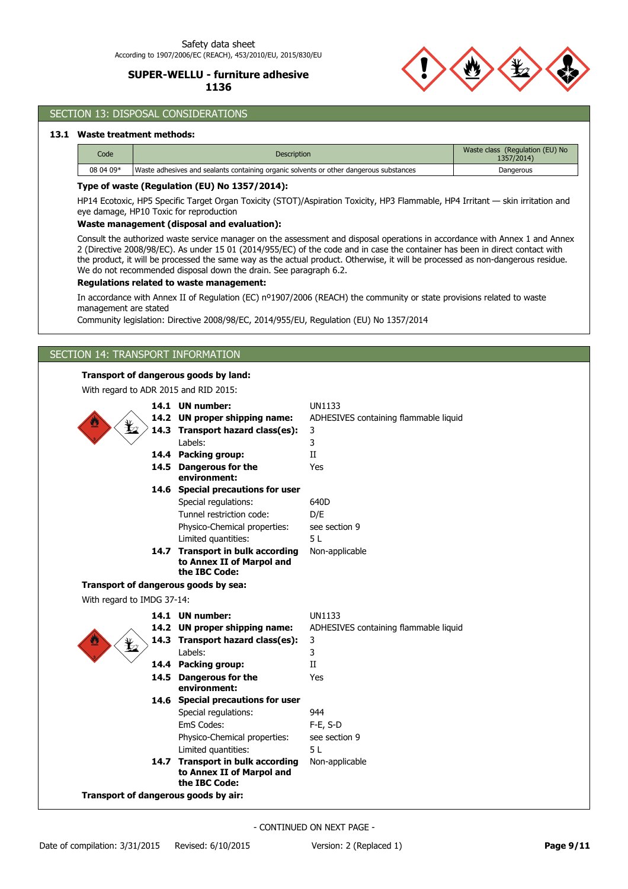

# SECTION 13: DISPOSAL CONSIDERATIONS

## **13.1 Waste treatment methods:**

| Code      | <b>Description</b>                                                                     | Waste class (Regulation (EU) No<br>1357/2014) |
|-----------|----------------------------------------------------------------------------------------|-----------------------------------------------|
| 08 04 09* | Waste adhesives and sealants containing organic solvents or other dangerous substances | Dangerous                                     |

#### **Type of waste (Regulation (EU) No 1357/2014):**

HP14 Ecotoxic, HP5 Specific Target Organ Toxicity (STOT)/Aspiration Toxicity, HP3 Flammable, HP4 Irritant — skin irritation and eye damage, HP10 Toxic for reproduction

#### **Waste management (disposal and evaluation):**

Consult the authorized waste service manager on the assessment and disposal operations in accordance with Annex 1 and Annex 2 (Directive 2008/98/EC). As under 15 01 (2014/955/EC) of the code and in case the container has been in direct contact with the product, it will be processed the same way as the actual product. Otherwise, it will be processed as non-dangerous residue. We do not recommended disposal down the drain. See paragraph 6.2.

## **Regulations related to waste management:**

In accordance with Annex II of Regulation (EC) nº1907/2006 (REACH) the community or state provisions related to waste management are stated

Community legislation: Directive 2008/98/EC, 2014/955/EU, Regulation (EU) No 1357/2014

# SECTION 14: TRANSPORT INFORMATION

## **Transport of dangerous goods by land:**

With regard to ADR 2015 and RID 2015:

| ¥                                    |  | 14.1 UN number:<br>14.2 UN proper shipping name:<br>14.3 Transport hazard class(es):<br>Labels:<br>14.4 Packing group:<br>14.5 Dangerous for the<br>environment: | <b>UN1133</b><br>ADHESIVES containing flammable liquid<br>3<br>3<br>II<br>Yes |  |  |
|--------------------------------------|--|------------------------------------------------------------------------------------------------------------------------------------------------------------------|-------------------------------------------------------------------------------|--|--|
|                                      |  | 14.6 Special precautions for user                                                                                                                                |                                                                               |  |  |
|                                      |  | Special regulations:                                                                                                                                             | 640D                                                                          |  |  |
|                                      |  | Tunnel restriction code:                                                                                                                                         | D/E                                                                           |  |  |
|                                      |  | Physico-Chemical properties:                                                                                                                                     | see section 9                                                                 |  |  |
|                                      |  | Limited quantities:                                                                                                                                              | 5 L                                                                           |  |  |
|                                      |  | 14.7 Transport in bulk according<br>to Annex II of Marpol and<br>the IBC Code:                                                                                   | Non-applicable                                                                |  |  |
|                                      |  | Transport of dangerous goods by sea:                                                                                                                             |                                                                               |  |  |
| With regard to IMDG 37-14:           |  |                                                                                                                                                                  |                                                                               |  |  |
|                                      |  | 14.1 UN number:                                                                                                                                                  | <b>UN1133</b>                                                                 |  |  |
|                                      |  | 14.2 UN proper shipping name:                                                                                                                                    | ADHESIVES containing flammable liquid                                         |  |  |
|                                      |  | 14.3 Transport hazard class(es):                                                                                                                                 | 3                                                                             |  |  |
|                                      |  | Labels:                                                                                                                                                          | 3                                                                             |  |  |
|                                      |  | 14.4 Packing group:                                                                                                                                              | II                                                                            |  |  |
|                                      |  | 14.5 Dangerous for the<br>environment:                                                                                                                           | Yes                                                                           |  |  |
|                                      |  | 14.6 Special precautions for user                                                                                                                                |                                                                               |  |  |
|                                      |  | Special regulations:                                                                                                                                             | 944                                                                           |  |  |
|                                      |  | EmS Codes:                                                                                                                                                       | $F-E, S-D$                                                                    |  |  |
|                                      |  | Physico-Chemical properties:                                                                                                                                     | see section 9                                                                 |  |  |
|                                      |  | Limited quantities:                                                                                                                                              | 5 L                                                                           |  |  |
|                                      |  | 14.7 Transport in bulk according<br>to Annex II of Marpol and<br>the IBC Code:                                                                                   | Non-applicable                                                                |  |  |
| Transport of dangerous goods by air: |  |                                                                                                                                                                  |                                                                               |  |  |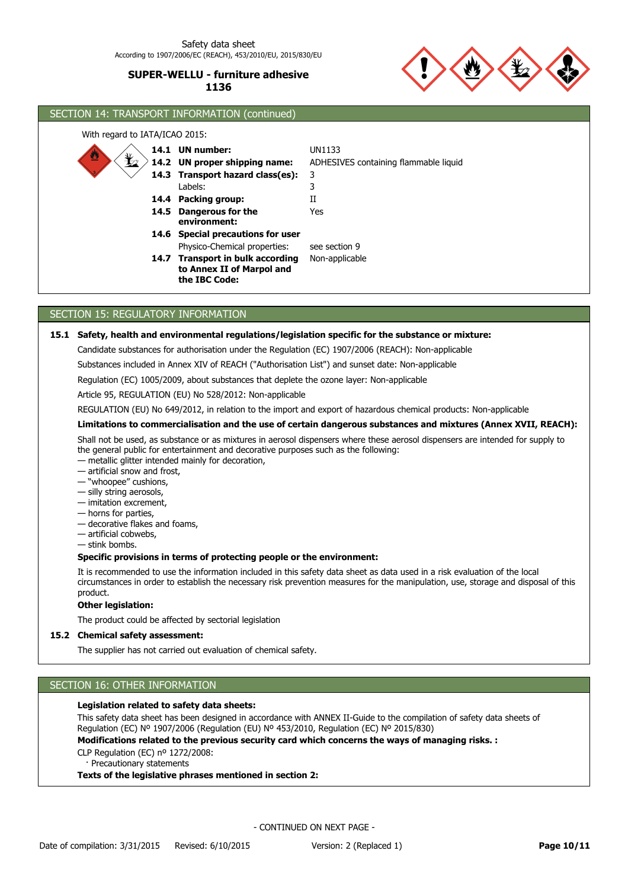

# SECTION 14: TRANSPORT INFORMATION (continued) With regard to IATA/ICAO 2015: **14.6 Special precautions for user 14.4 Packing group:** II **14.3 Transport hazard class(es):** 3 14.2 UN proper shipping name: **14.1 UN number:** UN1133 Physico-Chemical properties: see section 9 Labels: 3 **UN proper shipping name:** ADHESIVES containing flammable liquid **Dangerous for the 14.5** Yes **environment:** 14.7 Transport in bulk according Non-applicable **to Annex II of Marpol and the IBC Code:**

# SECTION 15: REGULATORY INFORMATION

## **15.1 Safety, health and environmental regulations/legislation specific for the substance or mixture:**

Candidate substances for authorisation under the Regulation (EC) 1907/2006 (REACH): Non-applicable

Substances included in Annex XIV of REACH ("Authorisation List") and sunset date: Non-applicable

Regulation (EC) 1005/2009, about substances that deplete the ozone layer: Non-applicable

Article 95, REGULATION (EU) No 528/2012: Non-applicable

REGULATION (EU) No 649/2012, in relation to the import and export of hazardous chemical products: Non-applicable

## **Limitations to commercialisation and the use of certain dangerous substances and mixtures (Annex XVII, REACH):**

Shall not be used, as substance or as mixtures in aerosol dispensers where these aerosol dispensers are intended for supply to the general public for entertainment and decorative purposes such as the following:

— metallic glitter intended mainly for decoration,

— artificial snow and frost,

- "whoopee" cushions,
- silly string aerosols,
- imitation excrement,
- horns for parties,
- decorative flakes and foams,
- artificial cobwebs,
- stink bombs.

#### **Specific provisions in terms of protecting people or the environment:**

It is recommended to use the information included in this safety data sheet as data used in a risk evaluation of the local circumstances in order to establish the necessary risk prevention measures for the manipulation, use, storage and disposal of this product.

#### **Other legislation:**

The product could be affected by sectorial legislation

## **15.2 Chemical safety assessment:**

The supplier has not carried out evaluation of chemical safety.

## SECTION 16: OTHER INFORMATION

#### **Legislation related to safety data sheets:**

This safety data sheet has been designed in accordance with ANNEX II-Guide to the compilation of safety data sheets of Regulation (EC) Nº 1907/2006 (Regulation (EU) Nº 453/2010, Regulation (EC) Nº 2015/830)

**Modifications related to the previous security card which concerns the ways of managing risks. :**

CLP Regulation (EC) nº 1272/2008:

Precautionary statements

#### **Texts of the legislative phrases mentioned in section 2:**